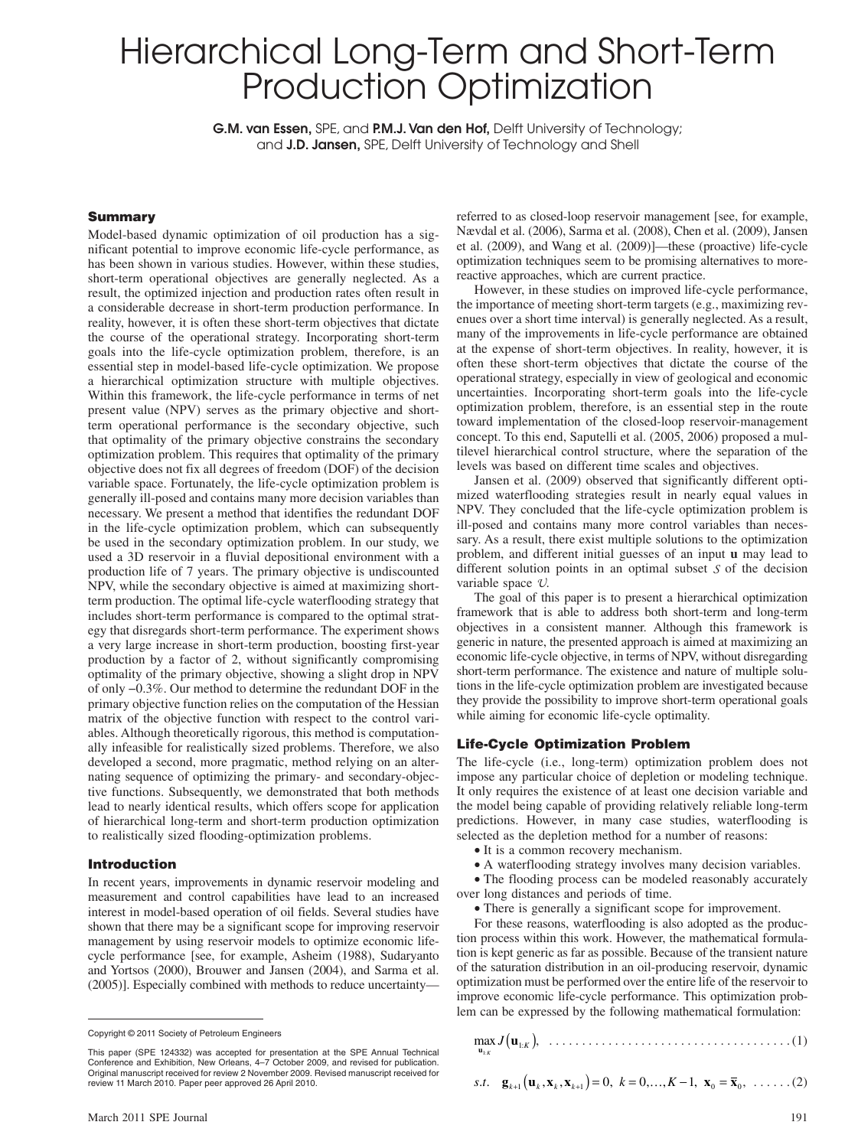# Hierarchical Long-Term and Short-Term Production Optimization

**G.M. van Essen,** SPE, and **P.M.J. Van den Hof,** Delft University of Technology; and **J.D. Jansen,** SPE, Delft University of Technology and Shell

## **Summary**

Model-based dynamic optimization of oil production has a significant potential to improve economic life-cycle performance, as has been shown in various studies. However, within these studies, short-term operational objectives are generally neglected. As a result, the optimized injection and production rates often result in a considerable decrease in short-term production performance. In reality, however, it is often these short-term objectives that dictate the course of the operational strategy. Incorporating short-term goals into the life-cycle optimization problem, therefore, is an essential step in model-based life-cycle optimization. We propose a hierarchical optimization structure with multiple objectives. Within this framework, the life-cycle performance in terms of net present value (NPV) serves as the primary objective and shortterm operational performance is the secondary objective, such that optimality of the primary objective constrains the secondary optimization problem. This requires that optimality of the primary objective does not fix all degrees of freedom (DOF) of the decision variable space. Fortunately, the life-cycle optimization problem is generally ill-posed and contains many more decision variables than necessary. We present a method that identifies the redundant DOF in the life-cycle optimization problem, which can subsequently be used in the secondary optimization problem. In our study, we used a 3D reservoir in a fluvial depositional environment with a production life of 7 years. The primary objective is undiscounted NPV, while the secondary objective is aimed at maximizing shortterm production. The optimal life-cycle waterflooding strategy that includes short-term performance is compared to the optimal strategy that disregards short-term performance. The experiment shows a very large increase in short-term production, boosting first-year production by a factor of 2, without significantly compromising optimality of the primary objective, showing a slight drop in NPV of only −0.3%. Our method to determine the redundant DOF in the primary objective function relies on the computation of the Hessian matrix of the objective function with respect to the control variables. Although theoretically rigorous, this method is computationally infeasible for realistically sized problems. Therefore, we also developed a second, more pragmatic, method relying on an alternating sequence of optimizing the primary- and secondary-objective functions. Subsequently, we demonstrated that both methods lead to nearly identical results, which offers scope for application of hierarchical long-term and short-term production optimization to realistically sized flooding-optimization problems.

#### **Introduction**

In recent years, improvements in dynamic reservoir modeling and measurement and control capabilities have lead to an increased interest in model-based operation of oil fields. Several studies have shown that there may be a significant scope for improving reservoir management by using reservoir models to optimize economic lifecycle performance [see, for example, Asheim (1988), Sudaryanto and Yortsos (2000), Brouwer and Jansen (2004), and Sarma et al. (2005)]. Especially combined with methods to reduce uncertainty—

referred to as closed-loop reservoir management [see, for example, Nævdal et al. (2006), Sarma et al. (2008), Chen et al. (2009), Jansen et al. (2009), and Wang et al. (2009)]—these (proactive) life-cycle optimization techniques seem to be promising alternatives to morereactive approaches, which are current practice.

However, in these studies on improved life-cycle performance, the importance of meeting short-term targets (e.g., maximizing revenues over a short time interval) is generally neglected. As a result, many of the improvements in life-cycle performance are obtained at the expense of short-term objectives. In reality, however, it is often these short-term objectives that dictate the course of the operational strategy, especially in view of geological and economic uncertainties. Incorporating short-term goals into the life-cycle optimization problem, therefore, is an essential step in the route toward implementation of the closed-loop reservoir-management concept. To this end, Saputelli et al. (2005, 2006) proposed a multilevel hierarchical control structure, where the separation of the levels was based on different time scales and objectives.

Jansen et al. (2009) observed that significantly different optimized waterflooding strategies result in nearly equal values in NPV. They concluded that the life-cycle optimization problem is ill-posed and contains many more control variables than necessary. As a result, there exist multiple solutions to the optimization problem, and different initial guesses of an input **u** may lead to different solution points in an optimal subset  $S$  of the decision variable space  $\mathcal{U}$ .

The goal of this paper is to present a hierarchical optimization framework that is able to address both short-term and long-term objectives in a consistent manner. Although this framework is generic in nature, the presented approach is aimed at maximizing an economic life-cycle objective, in terms of NPV, without disregarding short-term performance. The existence and nature of multiple solutions in the life-cycle optimization problem are investigated because they provide the possibility to improve short-term operational goals while aiming for economic life-cycle optimality.

## **Life-Cycle Optimization Problem**

The life-cycle (i.e., long-term) optimization problem does not impose any particular choice of depletion or modeling technique. It only requires the existence of at least one decision variable and the model being capable of providing relatively reliable long-term predictions. However, in many case studies, waterflooding is selected as the depletion method for a number of reasons:

- It is a common recovery mechanism.
- A waterflooding strategy involves many decision variables.

• The flooding process can be modeled reasonably accurately over long distances and periods of time.

• There is generally a significant scope for improvement.

For these reasons, waterflooding is also adopted as the production process within this work. However, the mathematical formulation is kept generic as far as possible. Because of the transient nature of the saturation distribution in an oil-producing reservoir, dynamic optimization must be performed over the entire life of the reservoir to improve economic life-cycle performance. This optimization problem can be expressed by the following mathematical formulation:

max : : **<sup>u</sup>** 1 *K* **u** 1 *J* ( ) *<sup>K</sup>* , . . . . . . . . . . . . . . . . . . . . . . . . . . . . . . . . . . . . . (1)

s.t. 
$$
\mathbf{g}_{k+1}(\mathbf{u}_k, \mathbf{x}_k, \mathbf{x}_{k+1}) = 0, k = 0, ..., K-1, \mathbf{x}_0 = \overline{\mathbf{x}}_0, ..., (2)
$$

Copyright © 2011 Society of Petroleum Engineers

This paper (SPE 124332) was accepted for presentation at the SPE Annual Technical Conference and Exhibition, New Orleans, 4–7 October 2009, and revised for publication. Original manuscript received for review 2 November 2009. Revised manuscript received for review 11 March 2010. Paper peer approved 26 April 2010.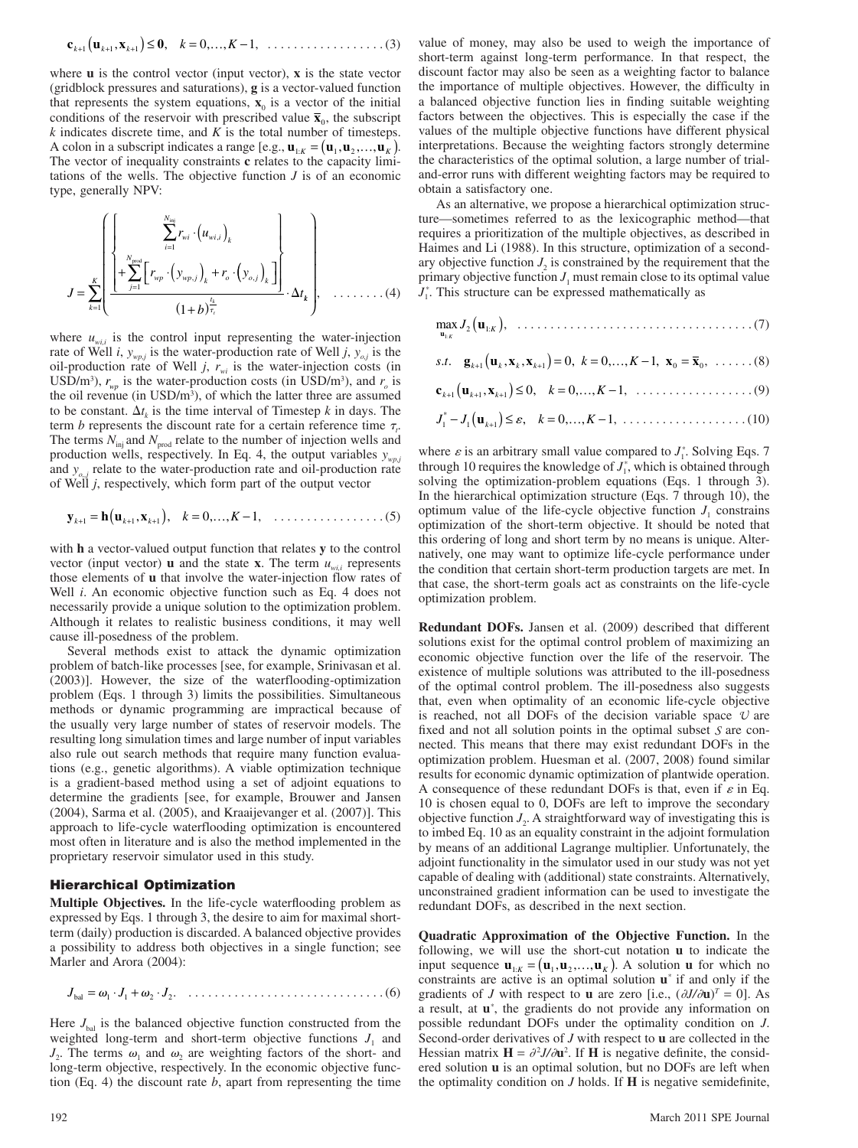**cux 0** *k kk* + ++ 1 11 ( ) , , ,, ≤= − *k K* 0 1 … , . . . . . . . . . . . . . . . . . . (3)

where **u** is the control vector (input vector), **x** is the state vector (gridblock pressures and saturations), **g** is a vector-valued function that represents the system equations,  $\mathbf{x}_0$  is a vector of the initial conditions of the reservoir with prescribed value  $\bar{\mathbf{x}}_0$ , the subscript *k* indicates discrete time, and *K* is the total number of timesteps. A colon in a subscript indicates a range [e.g.,  $\mathbf{u}_{1:K} = (\mathbf{u}_1, \mathbf{u}_2, \dots, \mathbf{u}_K)$ . The vector of inequality constraints **c** relates to the capacity limitations of the wells. The objective function *J* is of an economic type, generally NPV:

$$
J = \sum_{k=1}^{K} \left\{ \frac{\left\{\sum_{j=1}^{N_{\text{mid}}} r_{wi} \cdot (u_{wi,j})_{k}}{\left(\sum_{j=1}^{N_{\text{prod}}} \left[r_{wp} \cdot (y_{wp,j})_{k} + r_{o} \cdot (y_{o,j})_{k}\right)\right]} \right\}}{(1+b)^{\frac{t_{k}}{\tau_{i}}}} \cdot \Delta t_{k}, \dots \dots \dots (4)
$$

where  $u_{w,i}$  is the control input representing the water-injection rate of Well *i*,  $y_{wpj}$  is the water-production rate of Well *j*,  $y_{oj}$  is the oil-production rate of Well  $j$ ,  $r_{wi}$  is the water-injection costs (in USD/m<sup>3</sup>),  $r_{wp}$  is the water-production costs (in USD/m<sup>3</sup>), and  $r_o$  is the oil revenue (in USD/m<sup>3</sup>), of which the latter three are assumed to be constant.  $\Delta t_k$  is the time interval of Timestep *k* in days. The term *b* represents the discount rate for a certain reference time  $\tau_t$ . The terms  $N_{\text{inj}}$  and  $N_{\text{prod}}$  relate to the number of injection wells and production wells, respectively. In Eq. 4, the output variables  $y_{wp,j}$ and  $y_{o,i}$  relate to the water-production rate and oil-production rate of Well *j*, respectively, which form part of the output vector

$$
\mathbf{y}_{k+1} = \mathbf{h}(\mathbf{u}_{k+1}, \mathbf{x}_{k+1}), \quad k = 0, \dots, K-1, \quad \dots \dots \dots \dots \dots \dots \dots \dots \tag{5}
$$

with **h** a vector-valued output function that relates **y** to the control vector (input vector) **u** and the state **x**. The term  $u_{w,i}$  represents those elements of **u** that involve the water-injection flow rates of Well *i*. An economic objective function such as Eq. 4 does not necessarily provide a unique solution to the optimization problem. Although it relates to realistic business conditions, it may well cause ill-posedness of the problem.

Several methods exist to attack the dynamic optimization problem of batch-like processes [see, for example, Srinivasan et al. (2003)]. However, the size of the waterflooding-optimization problem (Eqs. 1 through 3) limits the possibilities. Simultaneous methods or dynamic programming are impractical because of the usually very large number of states of reservoir models. The resulting long simulation times and large number of input variables also rule out search methods that require many function evaluations (e.g., genetic algorithms). A viable optimization technique is a gradient-based method using a set of adjoint equations to determine the gradients [see, for example, Brouwer and Jansen (2004), Sarma et al. (2005), and Kraaijevanger et al. (2007)]. This approach to life-cycle waterflooding optimization is encountered most often in literature and is also the method implemented in the proprietary reservoir simulator used in this study.

## **Hierarchical Optimization**

**Multiple Objectives.** In the life-cycle waterflooding problem as expressed by Eqs. 1 through 3, the desire to aim for maximal shortterm (daily) production is discarded. A balanced objective provides a possibility to address both objectives in a single function; see Marler and Arora (2004):

*J JJ* bal = ⋅+ ⋅ 11 2 2. . . . . . . . . . . . . . . . . . . . . . . . . . . . . . . (6)

Here  $J_{\text{bal}}$  is the balanced objective function constructed from the weighted long-term and short-term objective functions  $J_1$  and  $J_2$ . The terms  $\omega_1$  and  $\omega_2$  are weighting factors of the short- and long-term objective, respectively. In the economic objective function (Eq. 4) the discount rate *b*, apart from representing the time

value of money, may also be used to weigh the importance of short-term against long-term performance. In that respect, the discount factor may also be seen as a weighting factor to balance the importance of multiple objectives. However, the difficulty in a balanced objective function lies in finding suitable weighting factors between the objectives. This is especially the case if the values of the multiple objective functions have different physical interpretations. Because the weighting factors strongly determine the characteristics of the optimal solution, a large number of trialand-error runs with different weighting factors may be required to obtain a satisfactory one.

As an alternative, we propose a hierarchical optimization structure—sometimes referred to as the lexicographic method—that requires a prioritization of the multiple objectives, as described in Haimes and Li (1988). In this structure, optimization of a secondary objective function  $J_2$  is constrained by the requirement that the primary objective function  $J_1$  must remain close to its optimal value  $J_1^*$ . This structure can be expressed mathematically as

max : **<sup>u</sup> u** 1 2 1 *K J* ( ) *<sup>K</sup>* , . . . . . . . . . . . . . . . . . . . . . . . . . . . . . . . . . . . . (7)

s.t. 
$$
\mathbf{g}_{k+1}(\mathbf{u}_k, \mathbf{x}_k, \mathbf{x}_{k+1}) = 0, k = 0, ..., K-1, \mathbf{x}_0 = \overline{\mathbf{x}}_0, ..., (8)
$$

$$
\mathbf{c}_{k+1}\big(\mathbf{u}_{k+1}, \mathbf{x}_{k+1}\big) \le 0, \quad k = 0, ..., K-1, \quad \dots \dots \dots \dots \dots \dots \dots \tag{9}
$$

$$
J_1^* - J_1(\mathbf{u}_{k+1}) \le \varepsilon
$$
,  $k = 0,..., K - 1, ...$  (10)

where  $\varepsilon$  is an arbitrary small value compared to  $J_1^*$ . Solving Eqs. 7 through 10 requires the knowledge of  $J_1^*$ , which is obtained through solving the optimization-problem equations (Eqs. 1 through 3). In the hierarchical optimization structure (Eqs. 7 through 10), the optimum value of the life-cycle objective function  $J_1$  constrains optimization of the short-term objective. It should be noted that this ordering of long and short term by no means is unique. Alternatively, one may want to optimize life-cycle performance under the condition that certain short-term production targets are met. In that case, the short-term goals act as constraints on the life-cycle optimization problem.

**Redundant DOFs.** Jansen et al. (2009) described that different solutions exist for the optimal control problem of maximizing an economic objective function over the life of the reservoir. The existence of multiple solutions was attributed to the ill-posedness of the optimal control problem. The ill-posedness also suggests that, even when optimality of an economic life-cycle objective is reached, not all DOFs of the decision variable space  $U$  are fixed and not all solution points in the optimal subset  $S$  are connected. This means that there may exist redundant DOFs in the optimization problem. Huesman et al. (2007, 2008) found similar results for economic dynamic optimization of plantwide operation. A consequence of these redundant DOFs is that, even if  $\varepsilon$  in Eq. 10 is chosen equal to 0, DOFs are left to improve the secondary objective function  $J_2$ . A straightforward way of investigating this is to imbed Eq. 10 as an equality constraint in the adjoint formulation by means of an additional Lagrange multiplier. Unfortunately, the adjoint functionality in the simulator used in our study was not yet capable of dealing with (additional) state constraints. Alternatively, unconstrained gradient information can be used to investigate the redundant DOFs, as described in the next section.

**Quadratic Approximation of the Objective Function.** In the following, we will use the short-cut notation **u** to indicate the input sequence  $\mathbf{u}_{1:K} = (\mathbf{u}_1, \mathbf{u}_2, \dots, \mathbf{u}_K)$ . A solution **u** for which no constraints are active is an optimal solution **u***\** if and only if the gradients of *J* with respect to **u** are zero [i.e.,  $(\partial J/\partial \mathbf{u})^T = 0$ ]. As a result, at **u***\** , the gradients do not provide any information on possible redundant DOFs under the optimality condition on *J*. Second-order derivatives of *J* with respect to **u** are collected in the Hessian matrix  $H = \partial^2 J / \partial u^2$ . If H is negative definite, the considered solution **u** is an optimal solution, but no DOFs are left when the optimality condition on  $J$  holds. If  $H$  is negative semidefinite,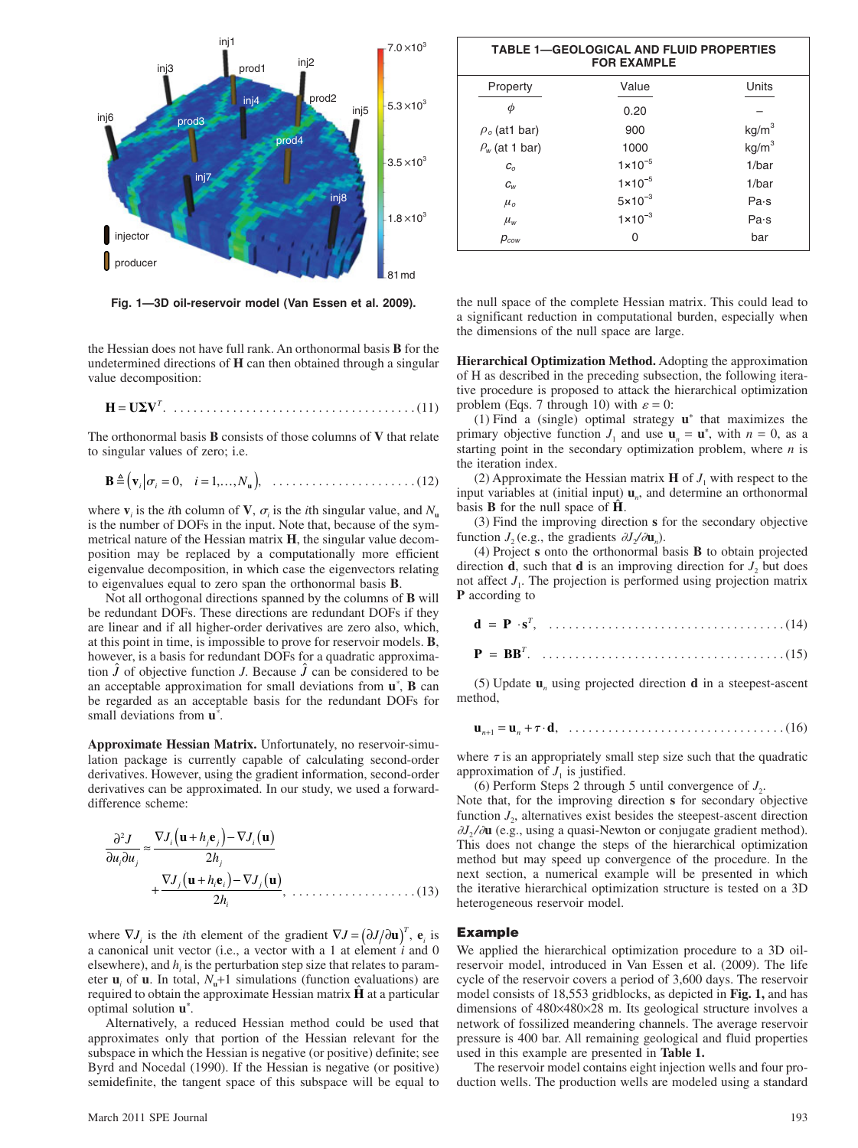

**Fig. 1—3D oil-reservoir model (Van Essen et al. 2009).**

the Hessian does not have full rank. An orthonormal basis **B** for the undetermined directions of **H** can then obtained through a singular value decomposition:

$$
\mathbf{H} = \mathbf{U} \mathbf{\Sigma} \mathbf{V}^T. \quad \dots \quad \dots \quad \dots \quad \dots \quad \dots \quad \dots \quad \dots \quad (11)
$$

The orthonormal basis **B** consists of those columns of **V** that relate to singular values of zero; i.e.

**B** … **v***i i* **<sup>u</sup>** ( ) = = 0 1 , ,, *i N* , . . . . . . . . . . . . . . . . . . . . . . (12)

where  $\mathbf{v}_i$  is the *i*th column of **V**,  $\sigma_i$  is the *i*th singular value, and  $N_u$ is the number of DOFs in the input. Note that, because of the symmetrical nature of the Hessian matrix **H**, the singular value decomposition may be replaced by a computationally more efficient eigenvalue decomposition, in which case the eigenvectors relating to eigenvalues equal to zero span the orthonormal basis **B**.

Not all orthogonal directions spanned by the columns of **B** will be redundant DOFs. These directions are redundant DOFs if they are linear and if all higher-order derivatives are zero also, which, at this point in time, is impossible to prove for reservoir models. **B**, however, is a basis for redundant DOFs for a quadratic approximation  $\hat{J}$  of objective function *J*. Because  $\hat{J}$  can be considered to be an acceptable approximation for small deviations from **u***\** , **B** can be regarded as an acceptable basis for the redundant DOFs for small deviations from **u***\** .

**Approximate Hessian Matrix.** Unfortunately, no reservoir-simulation package is currently capable of calculating second-order derivatives. However, using the gradient information, second-order derivatives can be approximated. In our study, we used a forwarddifference scheme:

$$
\frac{\partial^2 J}{\partial u_i \partial u_j} \approx \frac{\nabla J_i(\mathbf{u} + h_j \mathbf{e}_j) - \nabla J_i(\mathbf{u})}{2h_j} + \frac{\nabla J_j(\mathbf{u} + h_i \mathbf{e}_i) - \nabla J_j(\mathbf{u})}{2h_i}, \quad (13)
$$

where  $\nabla J_i$  is the *i*th element of the gradient  $\nabla J = (\partial J / \partial \mathbf{u})^T$ ,  $\mathbf{e}_i$  is a canonical unit vector (i.e., a vector with a 1 at element *i* and 0 elsewhere), and  $h_i$  is the perturbation step size that relates to parameter  $\mathbf{u}_i$  of  $\mathbf{u}$ . In total,  $N_{\mathbf{u}}+1$  simulations (function evaluations) are required to obtain the approximate Hessian matrix **H** at a particular optimal solution **u***\** .

Alternatively, a reduced Hessian method could be used that approximates only that portion of the Hessian relevant for the subspace in which the Hessian is negative (or positive) definite; see Byrd and Nocedal (1990). If the Hessian is negative (or positive) semidefinite, the tangent space of this subspace will be equal to

|                     | <b>TABLE 1-GEOLOGICAL AND FLUID PROPERTIES</b><br><b>FOR EXAMPLE</b> |                   |
|---------------------|----------------------------------------------------------------------|-------------------|
| Property            | Value                                                                | Units             |
| Φ                   | 0.20                                                                 |                   |
| $\rho_o$ (at 1 bar) | 900                                                                  | kg/m <sup>3</sup> |
| $P_w$ (at 1 bar)    | 1000                                                                 | kg/m <sup>3</sup> |
| C <sub>o</sub>      | $1 \times 10^{-5}$                                                   | 1/bar             |
| $c_{w}$             | $1 \times 10^{-5}$                                                   | 1/bar             |
| $\mu_{o}$           | $5 \times 10^{-3}$                                                   | Pa·s              |
| $\mu_{w}$           | $1 \times 10^{-3}$                                                   | Pa·s              |
| $p_{\textit{cow}}$  | O                                                                    | bar               |

the null space of the complete Hessian matrix. This could lead to a significant reduction in computational burden, especially when the dimensions of the null space are large.

**Hierarchical Optimization Method.** Adopting the approximation of H as described in the preceding subsection, the following iterative procedure is proposed to attack the hierarchical optimization problem (Eqs. 7 through 10) with  $\varepsilon = 0$ :

(1) Find a (single) optimal strategy **u***\** that maximizes the primary objective function  $J_1$  and use  $\mathbf{u}_n = \mathbf{u}^*$ , with  $n = 0$ , as a starting point in the secondary optimization problem, where *n* is the iteration index.

(2) Approximate the Hessian matrix  $\bf{H}$  of  $J_1$  with respect to the input variables at (initial input) **u***n*, and determine an orthonormal basis **B** for the null space of **H**.

(3) Find the improving direction **s** for the secondary objective function  $J_2$  (e.g., the gradients  $\partial J_2/\partial \mathbf{u}_n$ ).

(4) Project **s** onto the orthonormal basis **B** to obtain projected direction **d**, such that **d** is an improving direction for  $J<sub>2</sub>$  but does not affect  $J_1$ . The projection is performed using projection matrix **P** according to

(5) Update **u***n* using projected direction **d** in a steepest-ascent method,

$$
\mathbf{u}_{n+1} = \mathbf{u}_n + \tau \cdot \mathbf{d}, \quad \ldots \ldots \ldots \ldots \ldots \ldots \ldots \ldots \ldots \ldots \ldots \ldots \ldots (16)
$$

where  $\tau$  is an appropriately small step size such that the quadratic approximation of  $J<sub>1</sub>$  is justified.

(6) Perform Steps 2 through 5 until convergence of  $J_2$ .

Note that, for the improving direction **s** for secondary objective function  $J_2$ , alternatives exist besides the steepest-ascent direction  $\partial J_2 / \partial u$  (e.g., using a quasi-Newton or conjugate gradient method). This does not change the steps of the hierarchical optimization method but may speed up convergence of the procedure. In the next section, a numerical example will be presented in which the iterative hierarchical optimization structure is tested on a 3D heterogeneous reservoir model.

#### **Example**

We applied the hierarchical optimization procedure to a 3D oilreservoir model, introduced in Van Essen et al. (2009). The life cycle of the reservoir covers a period of 3,600 days. The reservoir model consists of 18,553 gridblocks, as depicted in **Fig. 1,** and has dimensions of 480×480×28 m. Its geological structure involves a network of fossilized meandering channels. The average reservoir pressure is 400 bar. All remaining geological and fluid properties used in this example are presented in **Table 1.**

The reservoir model contains eight injection wells and four production wells. The production wells are modeled using a standard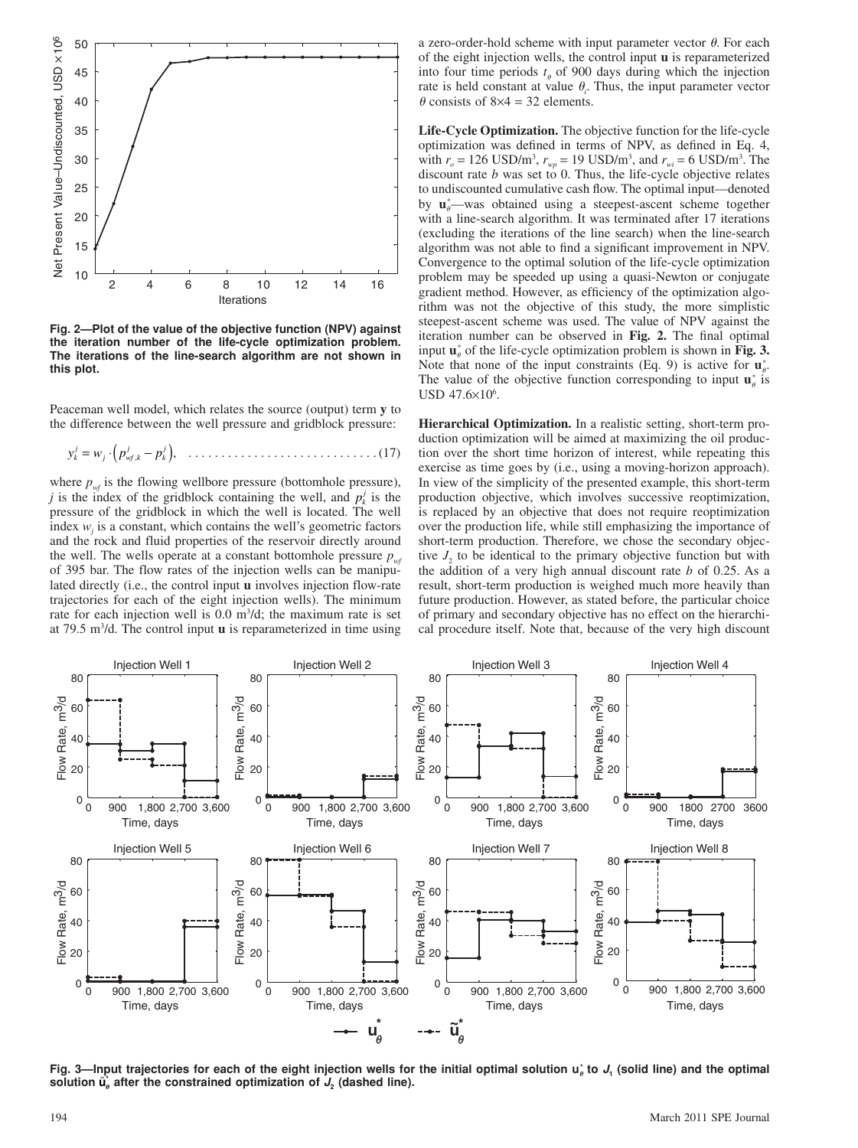

**Fig. 2—Plot of the value of the objective function (NPV) against the iteration number of the life-cycle optimization problem. The iterations of the line-search algorithm are not shown in this plot.**

Peaceman well model, which relates the source (output) term **y** to the difference between the well pressure and gridblock pressure:

*y wp p <sup>k</sup> j j wf k j k <sup>j</sup>* =⋅ − ( ) , , . . . . . . . . . . . . . . . . . . . . . . . . . . . . . (17)

where  $p_{wf}$  is the flowing wellbore pressure (bottomhole pressure), *j* is the index of the gridblock containing the well, and  $p_k^j$  is the pressure of the gridblock in which the well is located. The well index  $w_j$  is a constant, which contains the well's geometric factors and the rock and fluid properties of the reservoir directly around the well. The wells operate at a constant bottomhole pressure  $p_{\alpha f}$ of 395 bar. The flow rates of the injection wells can be manipulated directly (i.e., the control input **u** involves injection flow-rate trajectories for each of the eight injection wells). The minimum rate for each injection well is  $0.0 \text{ m}^3/\text{d}$ ; the maximum rate is set at 79.5 m3 /d. The control input **u** is reparameterized in time using a zero-order-hold scheme with input parameter vector  $\theta$ . For each of the eight injection wells, the control input **u** is reparameterized into four time periods  $t_{\theta}$  of 900 days during which the injection rate is held constant at value  $\theta_i$ . Thus, the input parameter vector  $\theta$  consists of 8×4 = 32 elements.

**Life-Cycle Optimization.** The objective function for the life-cycle optimization was defined in terms of NPV, as defined in Eq. 4, with  $r_o = 126 \text{ USD/m}^3$ ,  $r_{wp} = 19 \text{ USD/m}^3$ , and  $r_{wi} = 6 \text{ USD/m}^3$ . The discount rate *b* was set to 0. Thus, the life-cycle objective relates to undiscounted cumulative cash flow. The optimal input—denoted by  $\mathbf{u}_{\theta}^*$ —was obtained using a steepest-ascent scheme together with a line-search algorithm. It was terminated after 17 iterations (excluding the iterations of the line search) when the line-search algorithm was not able to find a significant improvement in NPV. Convergence to the optimal solution of the life-cycle optimization problem may be speeded up using a quasi-Newton or conjugate gradient method. However, as efficiency of the optimization algorithm was not the objective of this study, the more simplistic steepest-ascent scheme was used. The value of NPV against the iteration number can be observed in Fig. 2. The final optimal input  $\mathbf{u}_{\theta}^*$  of the life-cycle optimization problem is shown in Fig. 3. Note that none of the input constraints (Eq. 9) is active for  $\mathbf{u}_{\theta}^*$ . The value of the objective function corresponding to input  $\mathbf{u}_{\theta}^{*}$  is  $USD\;47.6\times10^6.$ 

**Hierarchical Optimization.** In a realistic setting, short-term production optimization will be aimed at maximizing the oil production over the short time horizon of interest, while repeating this exercise as time goes by (i.e., using a moving-horizon approach). In view of the simplicity of the presented example, this short-term production objective, which involves successive reoptimization, is replaced by an objective that does not require reoptimization over the production life, while still emphasizing the importance of short-term production. Therefore, we chose the secondary objective  $J_2$  to be identical to the primary objective function but with the addition of a very high annual discount rate *b* of 0.25. As a result, short-term production is weighed much more heavily than future production. However, as stated before, the particular choice of primary and secondary objective has no effect on the hierarchical procedure itself. Note that, because of the very high discount



**Fig. 3—Input trajectories for each of the eight injection wells for the initial optimal solution u \* to** *J***1 (solid line) and the optimal**  solution  $\tilde{\mathbf{u}}_{\rho}$  after the constrained optimization of  $J_2$  (dashed line).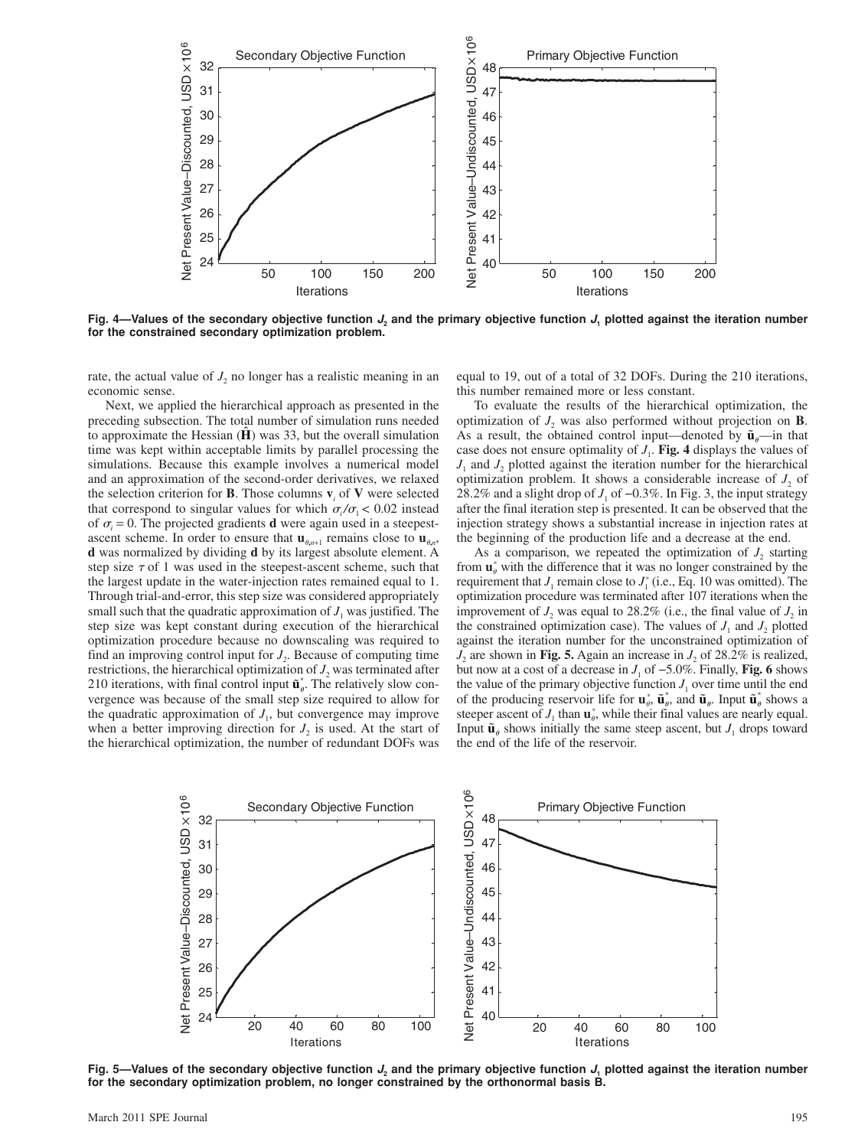

**Fig. 4—Values of the secondary objective function** *J***2 and the primary objective function** *J***1 plotted against the iteration number for the constrained secondary optimization problem.**

rate, the actual value of  $J_2$  no longer has a realistic meaning in an economic sense.

Next, we applied the hierarchical approach as presented in the preceding subsection. The total number of simulation runs needed to approximate the Hessian  $(\hat{H})$  was 33, but the overall simulation time was kept within acceptable limits by parallel processing the simulations. Because this example involves a numerical model and an approximation of the second-order derivatives, we relaxed the selection criterion for **B**. Those columns  $\mathbf{v}_i$  of **V** were selected that correspond to singular values for which  $\sigma/\sigma_1 < 0.02$  instead of  $\sigma_i = 0$ . The projected gradients **d** were again used in a steepestascent scheme. In order to ensure that  $\mathbf{u}_{n+1}$  remains close to  $\mathbf{u}_{n}$ , **d** was normalized by dividing **d** by its largest absolute element. A step size  $\tau$  of 1 was used in the steepest-ascent scheme, such that the largest update in the water-injection rates remained equal to 1. Through trial-and-error, this step size was considered appropriately small such that the quadratic approximation of  $J<sub>1</sub>$  was justified. The step size was kept constant during execution of the hierarchical optimization procedure because no downscaling was required to find an improving control input for  $J<sub>2</sub>$ . Because of computing time restrictions, the hierarchical optimization of  $J<sub>2</sub>$  was terminated after 210 iterations, with final control input  $\tilde{\mathbf{u}}_{\theta}^*$ . The relatively slow convergence was because of the small step size required to allow for the quadratic approximation of  $J<sub>1</sub>$ , but convergence may improve when a better improving direction for  $J_2$  is used. At the start of the hierarchical optimization, the number of redundant DOFs was

equal to 19, out of a total of 32 DOFs. During the 210 iterations, this number remained more or less constant.

To evaluate the results of the hierarchical optimization, the optimization of  $J_2$  was also performed without projection on **B**. As a result, the obtained control input—denoted by  $\tilde{\mathbf{u}}_n$ —in that case does not ensure optimality of  $J_1$ . **Fig. 4** displays the values of  $J_1$  and  $J_2$  plotted against the iteration number for the hierarchical optimization problem. It shows a considerable increase of  $J_2$  of 28.2% and a slight drop of  $J_1$  of  $-0.3\%$ . In Fig. 3, the input strategy after the final iteration step is presented. It can be observed that the injection strategy shows a substantial increase in injection rates at the beginning of the production life and a decrease at the end.

As a comparison, we repeated the optimization of  $J<sub>2</sub>$  starting from  $\mathbf{u}_{\theta}^*$  with the difference that it was no longer constrained by the requirement that  $J_1$  remain close to  $J_1^*$  (i.e., Eq. 10 was omitted). The optimization procedure was terminated after 107 iterations when the improvement of  $J_2$  was equal to 28.2% (i.e., the final value of  $J_2$  in the constrained optimization case). The values of  $J_1$  and  $J_2$  plotted against the iteration number for the unconstrained optimization of  $J_2$  are shown in **Fig. 5.** Again an increase in  $J_2$  of 28.2% is realized, but now at a cost of a decrease in  $J_1$  of  $-5.0\%$ . Finally, **Fig. 6** shows the value of the primary objective function  $J_1$  over time until the end of the producing reservoir life for  $\mathbf{u}_{\theta}^*$ ,  $\tilde{\mathbf{u}}_{\theta}^*$ , and  $\tilde{\mathbf{u}}_{\theta}$ . Input  $\tilde{\mathbf{u}}_{\theta}^*$  shows a steeper ascent of  $J_1$  than  $\mathbf{u}_\theta^*$ , while their final values are nearly equal. Input  $\tilde{\mathbf{u}}_{\theta}$  shows initially the same steep ascent, but  $J_1$  drops toward the end of the life of the reservoir.



Fig. 5—Values of the secondary objective function  $J_2$  and the primary objective function  $J_1$  plotted against the iteration number **for the secondary optimization problem, no longer constrained by the orthonormal basis B.**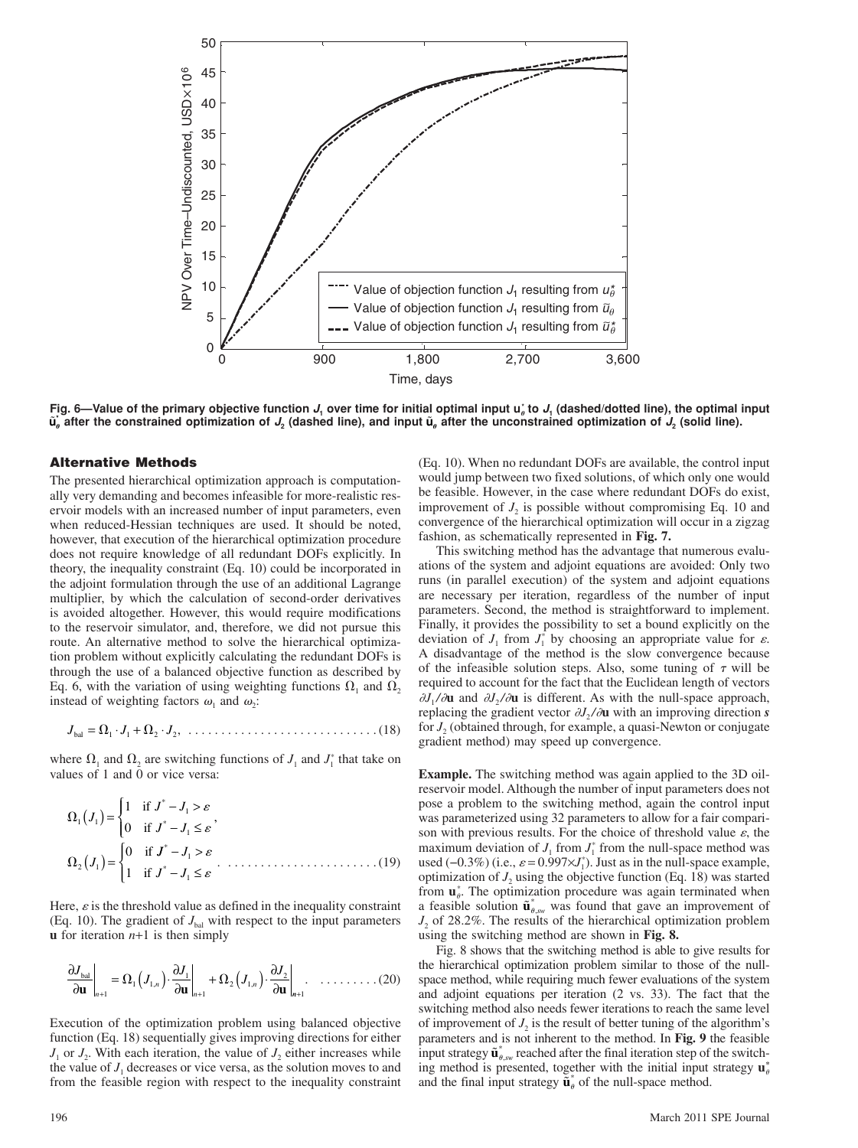

Fig. 6—Value of the primary objective function  $J_i$  over time for initial optimal input  $u^*_o$  to  $J_i$  (dashed/dotted line), the optimal input  $\tilde{\bm{u}}_b$  after the constrained optimization of  $J_2$  (dashed line), and input  $\tilde{\bm{u}}_a$  after the unconstrained optimization of  $J_2$  (solid line).

# **Alternative Methods**

The presented hierarchical optimization approach is computationally very demanding and becomes infeasible for more-realistic reservoir models with an increased number of input parameters, even when reduced-Hessian techniques are used. It should be noted, however, that execution of the hierarchical optimization procedure does not require knowledge of all redundant DOFs explicitly. In theory, the inequality constraint (Eq. 10) could be incorporated in the adjoint formulation through the use of an additional Lagrange multiplier, by which the calculation of second-order derivatives is avoided altogether. However, this would require modifications to the reservoir simulator, and, therefore, we did not pursue this route. An alternative method to solve the hierarchical optimization problem without explicitly calculating the redundant DOFs is through the use of a balanced objective function as described by Eq. 6, with the variation of using weighting functions  $\Omega_1$  and  $\Omega_2$ instead of weighting factors  $\omega_1$  and  $\omega_2$ :

*J JJ* bal = ⋅+ ⋅ 11 2 2, . . . . . . . . . . . . . . . . . . . . . . . . . . . . . (18)

where  $\Omega_1$  and  $\Omega_2$  are switching functions of  $J_1$  and  $J_1^*$  that take on values of 1 and 0 or vice versa:

$$
\Omega_1(J_1) = \begin{cases}\n1 & \text{if } J^* - J_1 > \varepsilon \\
0 & \text{if } J^* - J_1 \le \varepsilon\n\end{cases}
$$
\n
$$
\Omega_2(J_1) = \begin{cases}\n0 & \text{if } J^* - J_1 > \varepsilon \\
1 & \text{if } J^* - J_1 \le \varepsilon\n\end{cases}
$$
\n(19)

Here,  $\varepsilon$  is the threshold value as defined in the inequality constraint (Eq. 10). The gradient of  $J_{\text{bal}}$  with respect to the input parameters **u** for iteration *n*+1 is then simply

$$
\left. \frac{\partial J_{\text{bal}}}{\partial \mathbf{u}} \right|_{n+1} = \Omega_1 \left( J_{1,n} \right) \cdot \left. \frac{\partial J_1}{\partial \mathbf{u}} \right|_{n+1} + \Omega_2 \left( J_{1,n} \right) \cdot \left. \frac{\partial J_2}{\partial \mathbf{u}} \right|_{n+1} . \quad \dots \dots \dots \dots \tag{20}
$$

Execution of the optimization problem using balanced objective function (Eq. 18) sequentially gives improving directions for either  $J_1$  or  $J_2$ . With each iteration, the value of  $J_2$  either increases while the value of  $J_1$  decreases or vice versa, as the solution moves to and from the feasible region with respect to the inequality constraint (Eq. 10). When no redundant DOFs are available, the control input would jump between two fixed solutions, of which only one would be feasible. However, in the case where redundant DOFs do exist, improvement of  $J_2$  is possible without compromising Eq. 10 and convergence of the hierarchical optimization will occur in a zigzag fashion, as schematically represented in **Fig. 7.**

This switching method has the advantage that numerous evaluations of the system and adjoint equations are avoided: Only two runs (in parallel execution) of the system and adjoint equations are necessary per iteration, regardless of the number of input parameters. Second, the method is straightforward to implement. Finally, it provides the possibility to set a bound explicitly on the deviation of  $J_1$  from  $J_1^*$  by choosing an appropriate value for  $\varepsilon$ . A disadvantage of the method is the slow convergence because of the infeasible solution steps. Also, some tuning of  $\tau$  will be required to account for the fact that the Euclidean length of vectors  $\partial J_1 / \partial \mathbf{u}$  and  $\partial J_2 / \partial \mathbf{u}$  is different. As with the null-space approach, replacing the gradient vector  $\partial J_2 / \partial \mathbf{u}$  with an improving direction *s* for *J*<sub>2</sub> (obtained through, for example, a quasi-Newton or conjugate gradient method) may speed up convergence.

**Example.** The switching method was again applied to the 3D oilreservoir model. Although the number of input parameters does not pose a problem to the switching method, again the control input was parameterized using 32 parameters to allow for a fair comparison with previous results. For the choice of threshold value  $\varepsilon$ , the maximum deviation of  $J_1$  from  $J_1^*$  from the null-space method was used ( $-0.3\%$ ) (i.e.,  $\varepsilon$  = 0.997×*J*<sub>1</sub><sup>\*</sup>). Just as in the null-space example, optimization of  $J_2$  using the objective function (Eq. 18) was started from  $\mathbf{u}_{\theta}^*$ . The optimization procedure was again terminated when a feasible solution  $\tilde{\mathbf{u}}_{\theta,sw}^*$  was found that gave an improvement of *J*<sub>2</sub> of 28.2%. The results of the hierarchical optimization problem using the switching method are shown in **Fig. 8.**

Fig. 8 shows that the switching method is able to give results for the hierarchical optimization problem similar to those of the nullspace method, while requiring much fewer evaluations of the system and adjoint equations per iteration (2 vs. 33). The fact that the switching method also needs fewer iterations to reach the same level of improvement of  $J_2$  is the result of better tuning of the algorithm's parameters and is not inherent to the method. In **Fig. 9** the feasible input strategy  $\tilde{\mathbf{u}}_{\theta,sw}^*$  reached after the final iteration step of the switching method is presented, together with the initial input strategy  $\mathbf{u}_{\theta}^*$ and the final input strategy  $\tilde{\mathbf{u}}_{\theta}^*$  of the null-space method.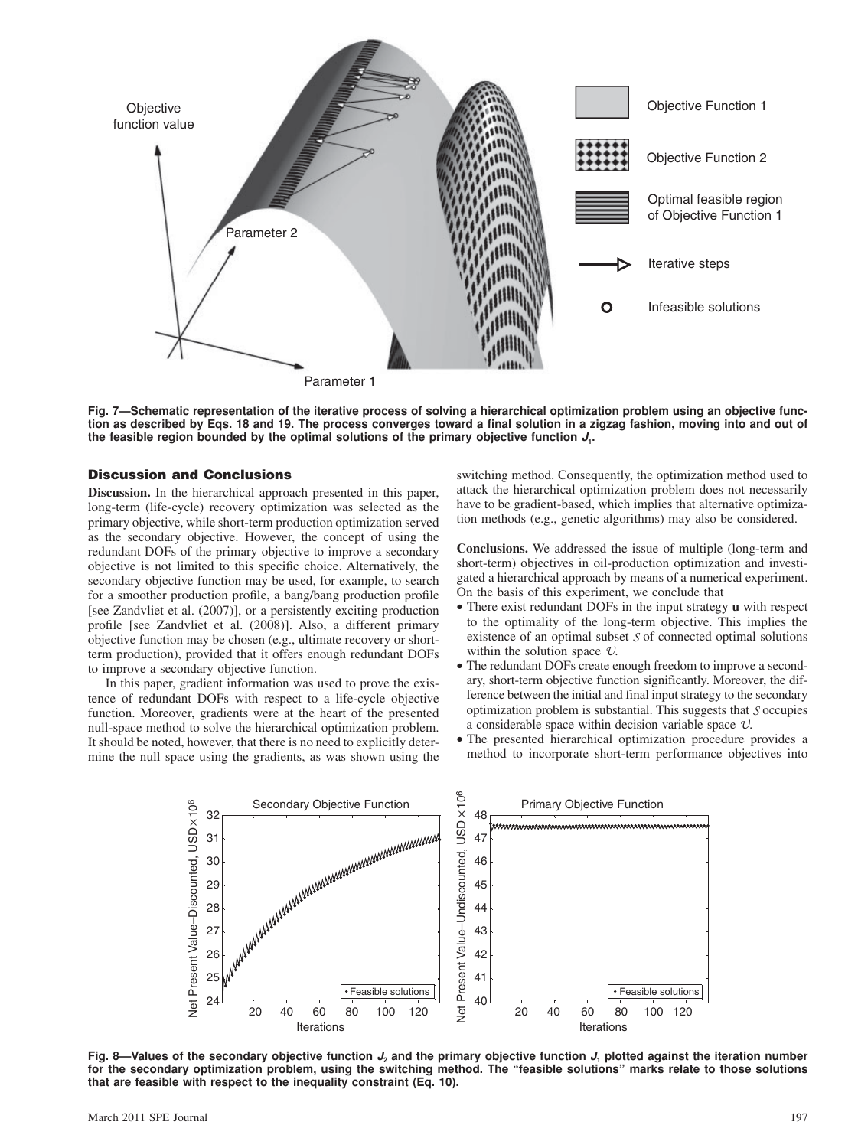

**Fig. 7—Schematic representation of the iterative process of solving a hierarchical optimization problem using an objective function as described by Eqs. 18 and 19. The process converges toward a final solution in a zigzag fashion, moving into and out of the feasible region bounded by the optimal solutions of the primary objective function** *J***1.**

# **Discussion and Conclusions**

**Discussion.** In the hierarchical approach presented in this paper, long-term (life-cycle) recovery optimization was selected as the primary objective, while short-term production optimization served as the secondary objective. However, the concept of using the redundant DOFs of the primary objective to improve a secondary objective is not limited to this specific choice. Alternatively, the secondary objective function may be used, for example, to search for a smoother production profile, a bang/bang production profile [see Zandvliet et al. (2007)], or a persistently exciting production profile [see Zandvliet et al. (2008)]. Also, a different primary objective function may be chosen (e.g., ultimate recovery or shortterm production), provided that it offers enough redundant DOFs to improve a secondary objective function.

In this paper, gradient information was used to prove the existence of redundant DOFs with respect to a life-cycle objective function. Moreover, gradients were at the heart of the presented null-space method to solve the hierarchical optimization problem. It should be noted, however, that there is no need to explicitly determine the null space using the gradients, as was shown using the

switching method. Consequently, the optimization method used to attack the hierarchical optimization problem does not necessarily have to be gradient-based, which implies that alternative optimization methods (e.g., genetic algorithms) may also be considered.

**Conclusions.** We addressed the issue of multiple (long-term and short-term) objectives in oil-production optimization and investigated a hierarchical approach by means of a numerical experiment. On the basis of this experiment, we conclude that

- There exist redundant DOFs in the input strategy **u** with respect to the optimality of the long-term objective. This implies the existence of an optimal subset  $S$  of connected optimal solutions within the solution space  $U$ .
- The redundant DOFs create enough freedom to improve a secondary, short-term objective function significantly. Moreover, the difference between the initial and final input strategy to the secondary optimization problem is substantial. This suggests that  $S$  occupies a considerable space within decision variable space  $U$ .
- The presented hierarchical optimization procedure provides a method to incorporate short-term performance objectives into



**Fig. 8—Values of the secondary objective function** *J***2 and the primary objective function** *J***1 plotted against the iteration number for the secondary optimization problem, using the switching method. The "feasible solutions" marks relate to those solutions that are feasible with respect to the inequality constraint (Eq. 10).**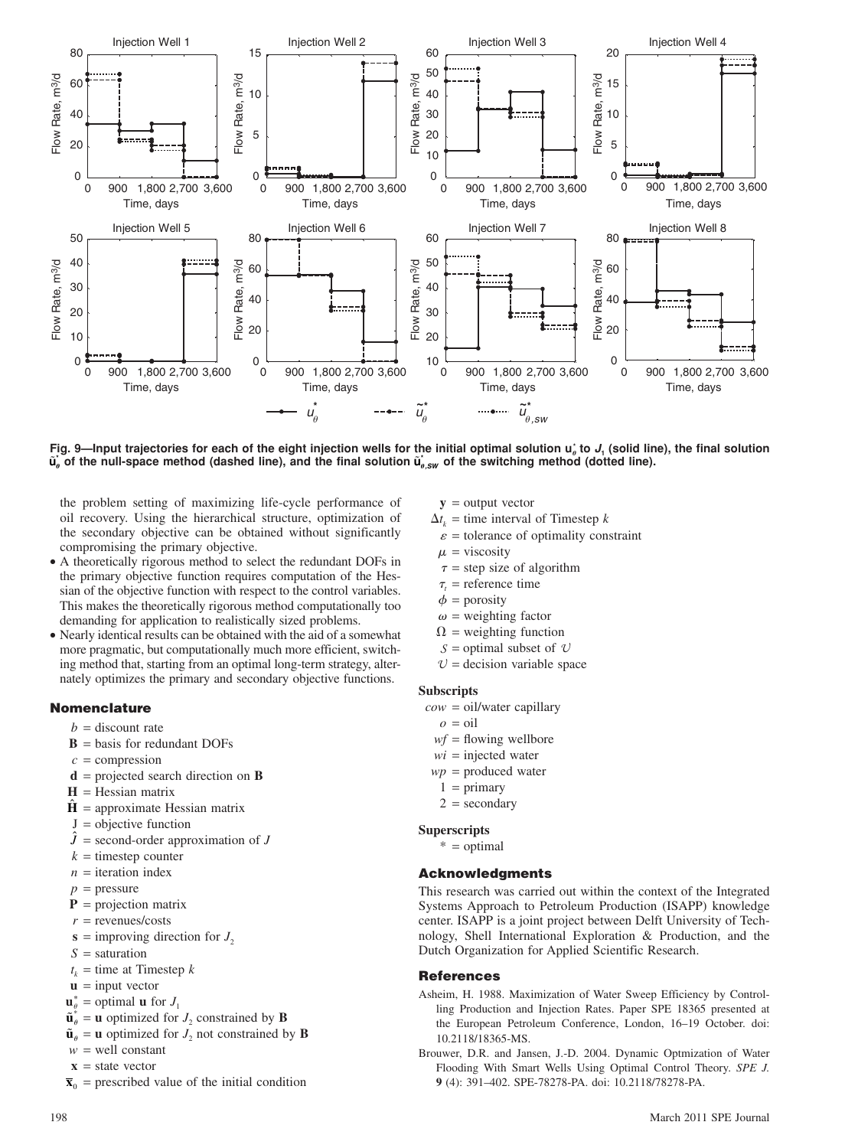

Fig. 9—Input trajectories for each of the eight injection wells for the initial optimal solution  $\mathsf{u}_i$  to  $J_i$  (solid line), the final solution  $\tilde{\bf u}_o$  of the null-space method (dashed line), and the final solution  $\tilde{\bf u}_{o,sw}$  of the switching method (dotted line).

the problem setting of maximizing life-cycle performance of oil recovery. Using the hierarchical structure, optimization of the secondary objective can be obtained without significantly compromising the primary objective.

- A theoretically rigorous method to select the redundant DOFs in the primary objective function requires computation of the Hessian of the objective function with respect to the control variables. This makes the theoretically rigorous method computationally too demanding for application to realistically sized problems.
- Nearly identical results can be obtained with the aid of a somewhat more pragmatic, but computationally much more efficient, switching method that, starting from an optimal long-term strategy, alternately optimizes the primary and secondary objective functions.

# **Nomenclature**

- $b =$  discount rate
- $\mathbf{B}$  = basis for redundant DOFs
- $c =$  compression
- **d** = projected search direction on **B**
- $H = H$ essian matrix
- $\hat{H}$  = approximate Hessian matrix
- $J =$  objective function
- $\hat{J}$  = second-order approximation of  $J$
- $k =$  timestep counter
- $n =$  iteration index
- $p =$ pressure
- $P =$  projection matrix
- $r =$  revenues/costs
- $s =$  improving direction for  $J_2$
- *S* = saturation
- $t_k$  = time at Timestep *k*
- $\mathbf{u}$  = input vector
- $\mathbf{u}_{\theta}^* =$  optimal **u** for  $J_1$ 
	- $\tilde{\mathbf{u}}_{\theta}^* = \mathbf{u}$  optimized for  $J_2$  constrained by **B**
	- $\tilde{\mathbf{u}}_{\theta} = \mathbf{u}$  optimized for  $J_2$  not constrained by **B**
	- $w =$  well constant
	- $\mathbf{x}$  = state vector
	- $\bar{\mathbf{x}}_0$  = prescribed value of the initial condition
- $y =$  output vector
- $\Delta t_k$  = time interval of Timestep *k*
- $\varepsilon$  = tolerance of optimality constraint
- $\mu$  = viscosity
- $\tau$  = step size of algorithm
- $\tau_t$  = reference time
	- $\phi$  = porosity
	- $\omega$  = weighting factor
	- $\Omega$  = weighting function
	- $S =$  optimal subset of  $U$
	- $U =$  decision variable space

## **Subscripts**

- *cow* = oil/water capillary
	- $\rho = \text{oil}$
	- $wf =$  flowing wellbore
	- $wi$  = injected water
- *wp* = produced water
- $1 = \text{primary}$
- $2 =$  secondary

## **Superscripts**

 $* =$  optimal

# **Acknowledgments**

This research was carried out within the context of the Integrated Systems Approach to Petroleum Production (ISAPP) knowledge center. ISAPP is a joint project between Delft University of Technology, Shell International Exploration & Production, and the Dutch Organization for Applied Scientific Research.

## **References**

- Asheim, H. 1988. Maximization of Water Sweep Efficiency by Controlling Production and Injection Rates. Paper SPE 18365 presented at the European Petroleum Conference, London, 16–19 October. doi: 10.2118/18365-MS.
- Brouwer, D.R. and Jansen, J.-D. 2004. Dynamic Optmization of Water Flooding With Smart Wells Using Optimal Control Theory. *SPE J.* **9** (4): 391–402. SPE-78278-PA. doi: 10.2118/78278-PA.